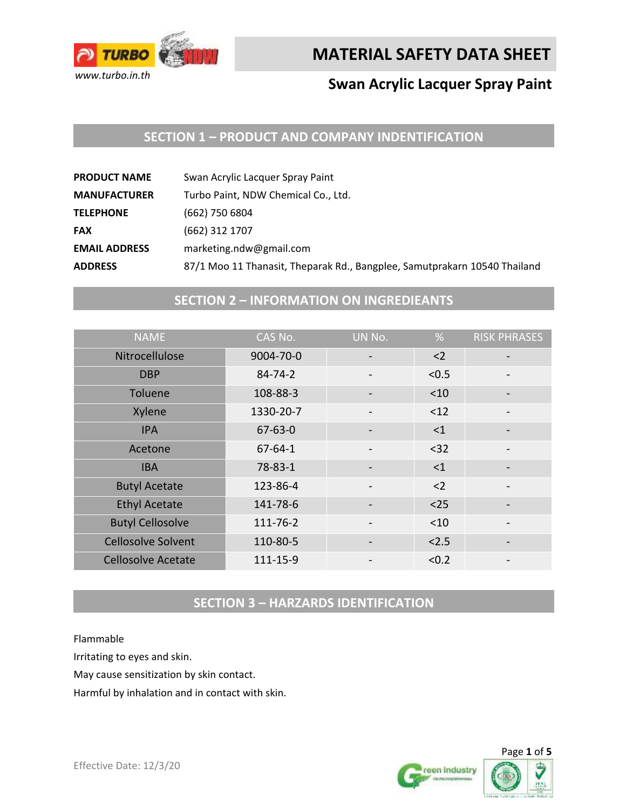

## **Swan Acrylic Lacquer Spray Paint**

#### **SECTION 1 – PRODUCT AND COMPANY INDENTIFICATION**

| 87/1 Moo 11 Thanasit, Theparak Rd., Bangplee, Samutprakarn 10540 Thailand |
|---------------------------------------------------------------------------|
|                                                                           |

## **SECTION 2 – INFORMATION ON INGREDIEANTS**

| <b>NAME</b>               | CAS No.       | UN No. | %     | <b>RISK PHRASES</b> |
|---------------------------|---------------|--------|-------|---------------------|
| Nitrocellulose            | 9004-70-0     |        | $2$   |                     |
| <b>DBP</b>                | $84 - 74 - 2$ |        | < 0.5 |                     |
| Toluene                   | 108-88-3      |        | < 10  |                     |
| Xylene                    | 1330-20-7     |        | < 12  |                     |
| <b>IPA</b>                | $67 - 63 - 0$ |        | <1    |                     |
| Acetone                   | $67 - 64 - 1$ |        | $32$  |                     |
| <b>IBA</b>                | 78-83-1       |        | <1    |                     |
| <b>Butyl Acetate</b>      | 123-86-4      |        | $2$   |                     |
| <b>Ethyl Acetate</b>      | 141-78-6      |        | $25$  |                     |
| <b>Butyl Cellosolve</b>   | 111-76-2      |        | < 10  |                     |
| <b>Cellosolve Solvent</b> | 110-80-5      |        | < 2.5 |                     |
| <b>Cellosolve Acetate</b> | 111-15-9      |        | < 0.2 |                     |

## **SECTION 3 – HARZARDS IDENTIFICATION**

Flammable

Irritating to eyes and skin.

May cause sensitization by skin contact.

Harmful by inhalation and in contact with skin.



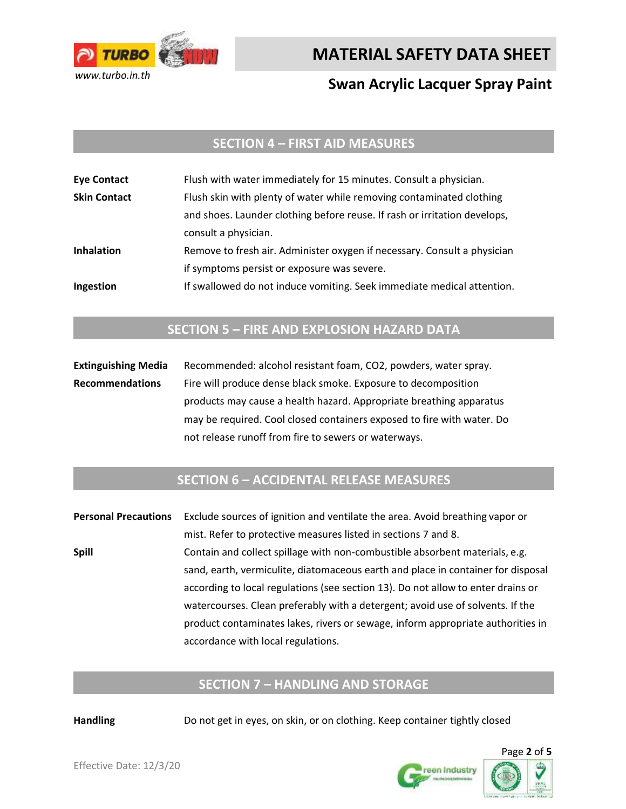

## **Swan Acrylic Lacquer Spray Paint**

#### **SECTION 4 – FIRST AID MEASURES**

| <b>Eye Contact</b>  | Flush with water immediately for 15 minutes. Consult a physician.         |
|---------------------|---------------------------------------------------------------------------|
| <b>Skin Contact</b> | Flush skin with plenty of water while removing contaminated clothing      |
|                     | and shoes. Launder clothing before reuse. If rash or irritation develops, |
|                     | consult a physician.                                                      |
| <b>Inhalation</b>   | Remove to fresh air. Administer oxygen if necessary. Consult a physician  |
|                     | if symptoms persist or exposure was severe.                               |
| Ingestion           | If swallowed do not induce vomiting. Seek immediate medical attention.    |

#### **SECTION 5 – FIRE AND EXPLOSION HAZARD DATA**

**Extinguishing Media** Recommended: alcohol resistant foam, CO2, powders, water spray. **Recommendations** Fire will produce dense black smoke. Exposure to decomposition products may cause a health hazard. Appropriate breathing apparatus may be required. Cool closed containers exposed to fire with water. Do not release runoff from fire to sewers or waterways.

#### **SECTION 6 – ACCIDENTAL RELEASE MEASURES**

**Personal Precautions** Exclude sources of ignition and ventilate the area. Avoid breathing vapor or mist. Refer to protective measures listed in sections 7 and 8. **Spill** Contain and collect spillage with non-combustible absorbent materials, e.g. sand, earth, vermiculite, diatomaceous earth and place in container for disposal according to local regulations (see section 13). Do not allow to enter drains or watercourses. Clean preferably with a detergent; avoid use of solvents. If the product contaminates lakes, rivers or sewage, inform appropriate authorities in accordance with local regulations.

#### **SECTION 7 – HANDLING AND STORAGE**

**Handling** Do not get in eyes, on skin, or on clothing. Keep container tightly closed

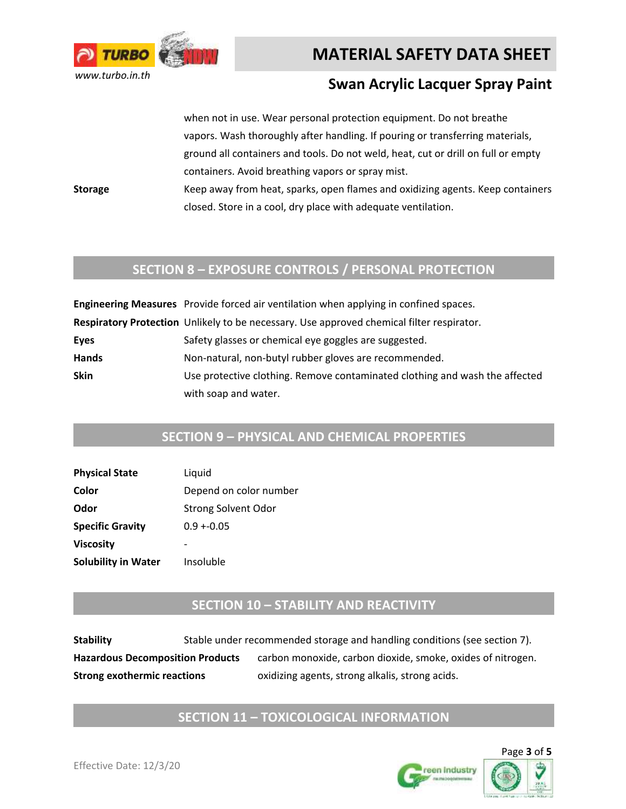

#### **Swan Acrylic Lacquer Spray Paint**

when not in use. Wear personal protection equipment. Do not breathe vapors. Wash thoroughly after handling. If pouring or transferring materials, ground all containers and tools. Do not weld, heat, cut or drill on full or empty containers. Avoid breathing vapors or spray mist.

**Storage** Keep away from heat, sparks, open flames and oxidizing agents. Keep containers closed. Store in a cool, dry place with adequate ventilation.

#### **SECTION 8 – EXPOSURE CONTROLS / PERSONAL PROTECTION**

|              | Engineering Measures Provide forced air ventilation when applying in confined spaces.     |
|--------------|-------------------------------------------------------------------------------------------|
|              | Respiratory Protection Unlikely to be necessary. Use approved chemical filter respirator. |
| Eyes         | Safety glasses or chemical eye goggles are suggested.                                     |
| <b>Hands</b> | Non-natural, non-butyl rubber gloves are recommended.                                     |
| Skin         | Use protective clothing. Remove contaminated clothing and wash the affected               |
|              | with soap and water.                                                                      |

#### **SECTION 9 – PHYSICAL AND CHEMICAL PROPERTIES**

| <b>Physical State</b>      | Liquid                     |
|----------------------------|----------------------------|
| Color                      | Depend on color number     |
| Odor                       | <b>Strong Solvent Odor</b> |
| <b>Specific Gravity</b>    | $0.9 + 0.05$               |
| Viscosity                  |                            |
| <b>Solubility in Water</b> | Insoluble                  |

#### **SECTION 10 – STABILITY AND REACTIVITY**

| <b>Stability</b>                        | Stable under recommended storage and handling conditions (see section 7). |
|-----------------------------------------|---------------------------------------------------------------------------|
| <b>Hazardous Decomposition Products</b> | carbon monoxide, carbon dioxide, smoke, oxides of nitrogen.               |
| <b>Strong exothermic reactions</b>      | oxidizing agents, strong alkalis, strong acids.                           |

#### **SECTION 11 – TOXICOLOGICAL INFORMATION**



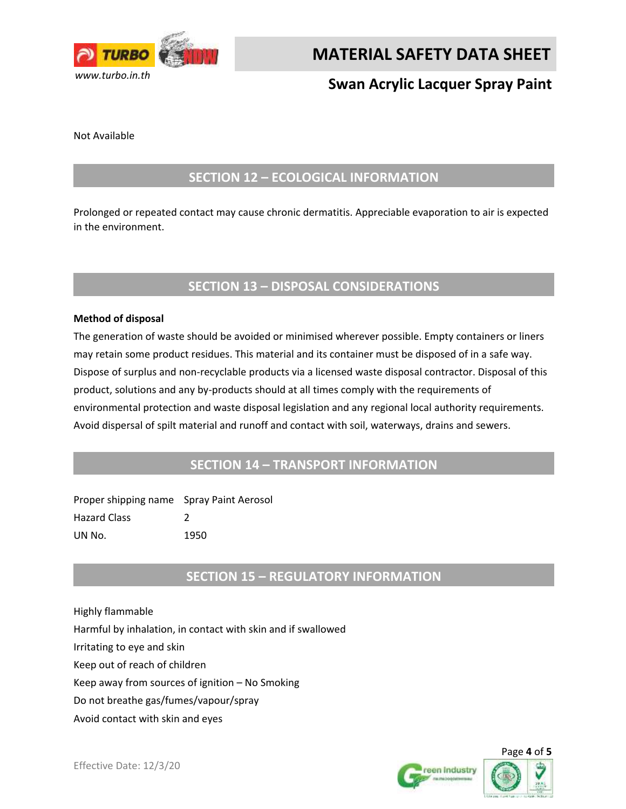

## **Swan Acrylic Lacquer Spray Paint**

Not Available

#### **SECTION 12 – ECOLOGICAL INFORMATION**

Prolonged or repeated contact may cause chronic dermatitis. Appreciable evaporation to air is expected in the environment.

#### **SECTION 13 – DISPOSAL CONSIDERATIONS**

#### **Method of disposal**

The generation of waste should be avoided or minimised wherever possible. Empty containers or liners may retain some product residues. This material and its container must be disposed of in a safe way. Dispose of surplus and non-recyclable products via a licensed waste disposal contractor. Disposal of this product, solutions and any by-products should at all times comply with the requirements of environmental protection and waste disposal legislation and any regional local authority requirements. Avoid dispersal of spilt material and runoff and contact with soil, waterways, drains and sewers.

#### **SECTION 14 – TRANSPORT INFORMATION**

| Proper shipping name Spray Paint Aerosol |      |
|------------------------------------------|------|
| <b>Hazard Class</b>                      |      |
| UN No.                                   | 1950 |

#### **SECTION 15 – REGULATORY INFORMATION**

Highly flammable Harmful by inhalation, in contact with skin and if swallowed Irritating to eye and skin Keep out of reach of children Keep away from sources of ignition – No Smoking Do not breathe gas/fumes/vapour/spray Avoid contact with skin and eyes